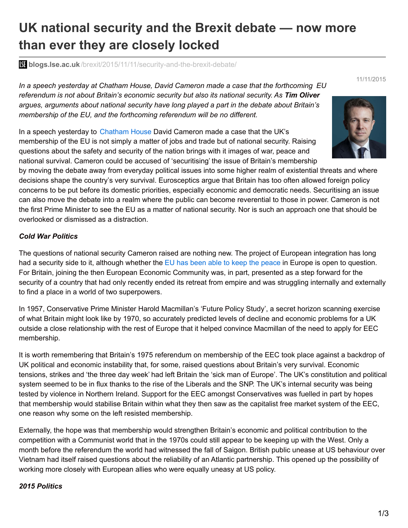# **UK national security and the Brexit debate — now more than ever they are closely locked**

**blogs.lse.ac.uk**[/brexit/2015/11/11/security-and-the-brexit-debate/](http://blogs.lse.ac.uk/brexit/2015/11/11/security-and-the-brexit-debate/)

*In a speech yesterday at Chatham House, David Cameron made a case that the forthcoming EU referendum is not about Britain's economic security but also its national security. As Tim Oliver argues, arguments about national security have long played a part in the debate about Britain's membership of the EU, and the forthcoming referendum will be no different.*

In a speech yesterday to [Chatham](https://www.chathamhouse.org/) House David Cameron made a case that the UK's membership of the EU is not simply a matter of jobs and trade but of national security. Raising questions about the safety and security of the nation brings with it images of war, peace and national survival. Cameron could be accused of 'securitising' the issue of Britain's membership

by moving the debate away from everyday political issues into some higher realm of existential threats and where decisions shape the country's very survival. Eurosceptics argue that Britain has too often allowed foreign policy concerns to be put before its domestic priorities, especially economic and democratic needs. Securitising an issue can also move the debate into a realm where the public can become reverential to those in power. Cameron is not the first Prime Minister to see the EU as a matter of national security. Nor is such an approach one that should be overlooked or dismissed as a distraction.

# *Cold War Politics*

The questions of national security Cameron raised are nothing new. The project of European integration has long had a security side to it, although whether the EU has been able to keep the [peace](http://blogs.lse.ac.uk/europpblog/2015/10/30/in-spite-of-its-2012-nobel-prize-the-eu-is-unable-to-keep-the-peace-in-europe/) in Europe is open to question. For Britain, joining the then European Economic Community was, in part, presented as a step forward for the security of a country that had only recently ended its retreat from empire and was struggling internally and externally to find a place in a world of two superpowers.

In 1957, Conservative Prime Minister Harold Macmillan's 'Future Policy Study', a secret horizon scanning exercise of what Britain might look like by 1970, so accurately predicted levels of decline and economic problems for a UK outside a close relationship with the rest of Europe that it helped convince Macmillan of the need to apply for EEC membership.

It is worth remembering that Britain's 1975 referendum on membership of the EEC took place against a backdrop of UK political and economic instability that, for some, raised questions about Britain's very survival. Economic tensions, strikes and 'the three day week' had left Britain the 'sick man of Europe'. The UK's constitution and political system seemed to be in flux thanks to the rise of the Liberals and the SNP. The UK's internal security was being tested by violence in Northern Ireland. Support for the EEC amongst Conservatives was fuelled in part by hopes that membership would stabilise Britain within what they then saw as the capitalist free market system of the EEC, one reason why some on the left resisted membership.

Externally, the hope was that membership would strengthen Britain's economic and political contribution to the competition with a Communist world that in the 1970s could still appear to be keeping up with the West. Only a month before the referendum the world had witnessed the fall of Saigon. British public unease at US behaviour over Vietnam had itself raised questions about the reliability of an Atlantic partnership. This opened up the possibility of working more closely with European allies who were equally uneasy at US policy.

# *2015 Politics*

1/3



11/11/2015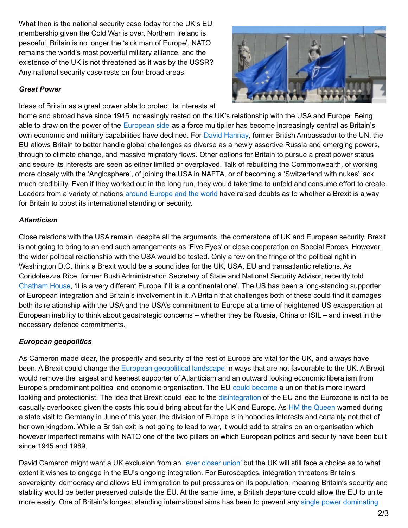What then is the national security case today for the UK's EU membership given the Cold War is over, Northern Ireland is peaceful, Britain is no longer the 'sick man of Europe', NATO remains the world's most powerful military alliance, and the existence of the UK is not threatened as it was by the USSR? Any national security case rests on four broad areas.

#### *Great Power*

Ideas of Britain as a great power able to protect its interests at



home and abroad have since 1945 increasingly rested on the UK's relationship with the USA and Europe. Being able to draw on the power of the [European](https://www.chathamhouse.org/expert/comment/britain-needs-rethink-its-circles-influence) side as a force multiplier has become increasingly central as Britain's own economic and military capabilities have declined. For David [Hannay](http://www.britishinfluence.org/a_little_history_is_a_dangerous_thing), former British Ambassador to the UN, the EU allows Britain to better handle global challenges as diverse as a newly assertive Russia and emerging powers, through to climate change, and massive migratory flows. Other options for Britain to pursue a great power status and secure its interests are seen as either limited or overplayed. Talk of rebuilding the Commonwealth, of working more closely with the 'Anglosphere', of joining the USA in NAFTA, or of becoming a 'Switzerland with nukes' lack much credibility. Even if they worked out in the long run, they would take time to unfold and consume effort to create. Leaders from a variety of nations around [Europe](https://dgap.org/en/think-tank/publications/dgapanalysis/united-kingdom-and-european-union) and the world have raised doubts as to whether a Brexit is a way for Britain to boost its international standing or security.

# *Atlanticism*

Close relations with the USA remain, despite all the arguments, the cornerstone of UK and European security. Brexit is not going to bring to an end such arrangements as 'Five Eyes' or close cooperation on Special Forces. However, the wider political relationship with the USA would be tested. Only a few on the fringe of the political right in Washington D.C. think a Brexit would be a sound idea for the UK, USA, EU and transatlantic relations. As Condoleezza Rice, former Bush Administration Secretary of State and National Security Advisor, recently told [Chatham](https://www.chathamhouse.org/event/renewing-transatlantic-alliance) House, 'it is a very different Europe if it is a continental one'. The US has been a long-standing supporter of European integration and Britain's involvement in it. A Britain that challenges both of these could find it damages both its relationship with the USA and the USA's commitment to Europe at a time of heightened US exasperation at European inability to think about geostrategic concerns – whether they be Russia, China or ISIL – and invest in the necessary defence commitments.

# *European geopolitics*

As Cameron made clear, the prosperity and security of the rest of Europe are vital for the UK, and always have been. A Brexit could change the European [geopolitical](http://www.tandfonline.com/doi/abs/10.1080/13600826.2015.1044425?journalCode=cgsj20) landscape in ways that are not favourable to the UK. A Brexit would remove the largest and keenest supporter of Atlanticism and an outward looking economic liberalism from Europe's predominant political and economic organisation. The EU could [become](http://www.swp-berlin.org/fileadmin/contents/products/research_papers/2013_RP07_olv.pdf) a union that is more inward looking and protectionist. The idea that Brexit could lead to the [disintegration](https://www.academia.edu/9179322/_Brexit_and_the_idea_of_European_Disintegration_) of the EU and the Eurozone is not to be casually overlooked given the costs this could bring about for the UK and Europe. As HM the [Queen](http://www.bbc.co.uk/news/uk-33265361) warned during a state visit to Germany in June of this year, the division of Europe is in nobodies interests and certainly not that of her own kingdom. While a British exit is not going to lead to war, it would add to strains on an organisation which however imperfect remains with NATO one of the two pillars on which European politics and security have been built since 1945 and 1989.

David Cameron might want a UK exclusion from an 'ever [closer](http://blogs.lse.ac.uk/brexit/2015/11/09/understanding-camerons-renegotiations-the-ever-closer-union-problem/) union' but the UK will still face a choice as to what extent it wishes to engage in the EU's ongoing integration. For Eurosceptics, integration threatens Britain's sovereignty, democracy and allows EU immigration to put pressures on its population, meaning Britain's security and stability would be better preserved outside the EU. At the same time, a British departure could allow the EU to unite more easily. One of Britain's longest standing [international](http://data.parliament.uk/writtenevidence/committeeevidence.svc/evidencedocument/foreign-affairs-committee/the-costs-and-benefits-of-uk-membership-of-the-eu/written/22181.html) aims has been to prevent any single power dominating